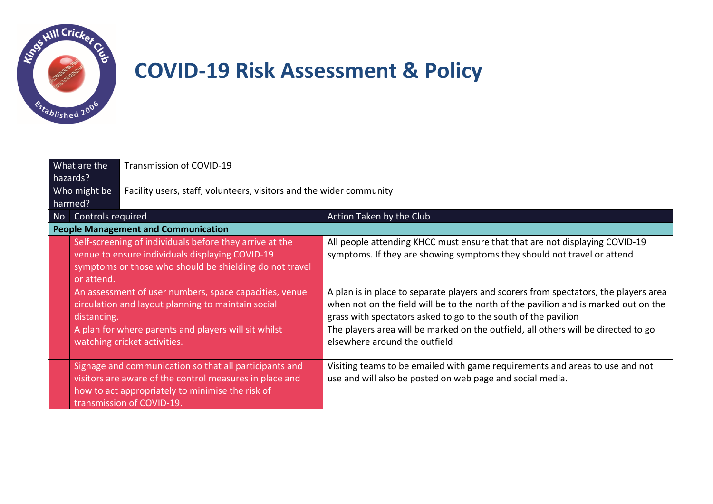

## **COVID-19 Risk Assessment & Policy**

| What are the<br>hazards? |                                            | Transmission of COVID-19                                                                                                                                                                           |                                                                                                                                                                                                                                               |
|--------------------------|--------------------------------------------|----------------------------------------------------------------------------------------------------------------------------------------------------------------------------------------------------|-----------------------------------------------------------------------------------------------------------------------------------------------------------------------------------------------------------------------------------------------|
| Who might be<br>harmed?  |                                            | Facility users, staff, volunteers, visitors and the wider community                                                                                                                                |                                                                                                                                                                                                                                               |
| No.                      | Controls required                          |                                                                                                                                                                                                    | Action Taken by the Club                                                                                                                                                                                                                      |
|                          | <b>People Management and Communication</b> |                                                                                                                                                                                                    |                                                                                                                                                                                                                                               |
|                          | or attend.                                 | Self-screening of individuals before they arrive at the<br>venue to ensure individuals displaying COVID-19<br>symptoms or those who should be shielding do not travel                              | All people attending KHCC must ensure that that are not displaying COVID-19<br>symptoms. If they are showing symptoms they should not travel or attend                                                                                        |
|                          | distancing.                                | An assessment of user numbers, space capacities, venue<br>circulation and layout planning to maintain social                                                                                       | A plan is in place to separate players and scorers from spectators, the players area<br>when not on the field will be to the north of the pavilion and is marked out on the<br>grass with spectators asked to go to the south of the pavilion |
|                          |                                            | A plan for where parents and players will sit whilst<br>watching cricket activities.                                                                                                               | The players area will be marked on the outfield, all others will be directed to go<br>elsewhere around the outfield                                                                                                                           |
|                          |                                            | Signage and communication so that all participants and<br>visitors are aware of the control measures in place and<br>how to act appropriately to minimise the risk of<br>transmission of COVID-19. | Visiting teams to be emailed with game requirements and areas to use and not<br>use and will also be posted on web page and social media.                                                                                                     |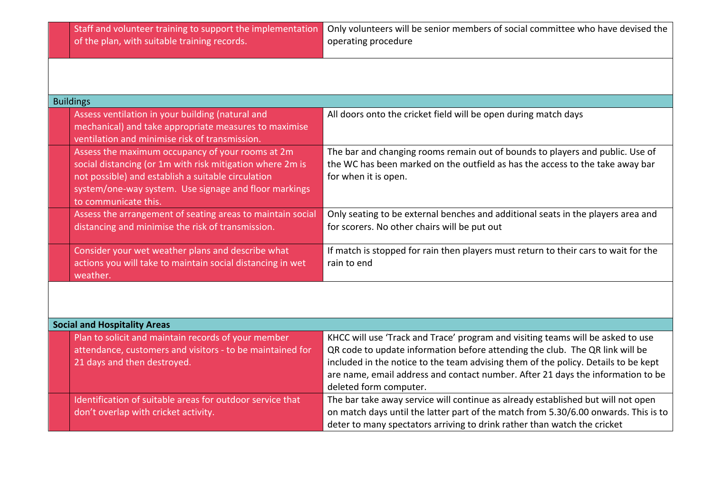| Staff and volunteer training to support the implementation<br>of the plan, with suitable training records.                                                                                                                                           | Only volunteers will be senior members of social committee who have devised the<br>operating procedure                                                                                                                                                                                                                                                             |
|------------------------------------------------------------------------------------------------------------------------------------------------------------------------------------------------------------------------------------------------------|--------------------------------------------------------------------------------------------------------------------------------------------------------------------------------------------------------------------------------------------------------------------------------------------------------------------------------------------------------------------|
|                                                                                                                                                                                                                                                      |                                                                                                                                                                                                                                                                                                                                                                    |
| <b>Buildings</b>                                                                                                                                                                                                                                     |                                                                                                                                                                                                                                                                                                                                                                    |
| Assess ventilation in your building (natural and<br>mechanical) and take appropriate measures to maximise<br>ventilation and minimise risk of transmission.                                                                                          | All doors onto the cricket field will be open during match days                                                                                                                                                                                                                                                                                                    |
| Assess the maximum occupancy of your rooms at 2m<br>social distancing (or 1m with risk mitigation where 2m is<br>not possible) and establish a suitable circulation<br>system/one-way system. Use signage and floor markings<br>to communicate this. | The bar and changing rooms remain out of bounds to players and public. Use of<br>the WC has been marked on the outfield as has the access to the take away bar<br>for when it is open.                                                                                                                                                                             |
| Assess the arrangement of seating areas to maintain social<br>distancing and minimise the risk of transmission.                                                                                                                                      | Only seating to be external benches and additional seats in the players area and<br>for scorers. No other chairs will be put out                                                                                                                                                                                                                                   |
| Consider your wet weather plans and describe what<br>actions you will take to maintain social distancing in wet<br>weather.                                                                                                                          | If match is stopped for rain then players must return to their cars to wait for the<br>rain to end                                                                                                                                                                                                                                                                 |
|                                                                                                                                                                                                                                                      |                                                                                                                                                                                                                                                                                                                                                                    |
| <b>Social and Hospitality Areas</b>                                                                                                                                                                                                                  |                                                                                                                                                                                                                                                                                                                                                                    |
| Plan to solicit and maintain records of your member<br>attendance, customers and visitors - to be maintained for<br>21 days and then destroyed.                                                                                                      | KHCC will use 'Track and Trace' program and visiting teams will be asked to use<br>QR code to update information before attending the club. The QR link will be<br>included in the notice to the team advising them of the policy. Details to be kept<br>are name, email address and contact number. After 21 days the information to be<br>deleted form computer. |
| Identification of suitable areas for outdoor service that<br>don't overlap with cricket activity.                                                                                                                                                    | The bar take away service will continue as already established but will not open<br>on match days until the latter part of the match from 5.30/6.00 onwards. This is to<br>deter to many spectators arriving to drink rather than watch the cricket                                                                                                                |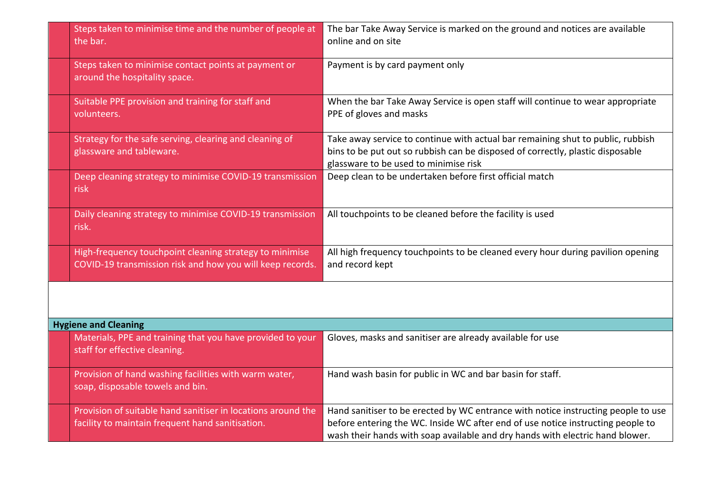| Steps taken to minimise time and the number of people at<br>the bar.                                                 | The bar Take Away Service is marked on the ground and notices are available<br>online and on site                                                                                                                                                     |  |
|----------------------------------------------------------------------------------------------------------------------|-------------------------------------------------------------------------------------------------------------------------------------------------------------------------------------------------------------------------------------------------------|--|
| Steps taken to minimise contact points at payment or<br>around the hospitality space.                                | Payment is by card payment only                                                                                                                                                                                                                       |  |
| Suitable PPE provision and training for staff and<br>volunteers.                                                     | When the bar Take Away Service is open staff will continue to wear appropriate<br>PPE of gloves and masks                                                                                                                                             |  |
| Strategy for the safe serving, clearing and cleaning of<br>glassware and tableware.                                  | Take away service to continue with actual bar remaining shut to public, rubbish<br>bins to be put out so rubbish can be disposed of correctly, plastic disposable<br>glassware to be used to minimise risk                                            |  |
| Deep cleaning strategy to minimise COVID-19 transmission<br>risk                                                     | Deep clean to be undertaken before first official match                                                                                                                                                                                               |  |
| Daily cleaning strategy to minimise COVID-19 transmission<br>risk.                                                   | All touchpoints to be cleaned before the facility is used                                                                                                                                                                                             |  |
| High-frequency touchpoint cleaning strategy to minimise<br>COVID-19 transmission risk and how you will keep records. | All high frequency touchpoints to be cleaned every hour during pavilion opening<br>and record kept                                                                                                                                                    |  |
|                                                                                                                      |                                                                                                                                                                                                                                                       |  |
| <b>Hygiene and Cleaning</b>                                                                                          |                                                                                                                                                                                                                                                       |  |
| Materials, PPE and training that you have provided to your<br>staff for effective cleaning.                          | Gloves, masks and sanitiser are already available for use                                                                                                                                                                                             |  |
| Provision of hand washing facilities with warm water,<br>soap, disposable towels and bin.                            | Hand wash basin for public in WC and bar basin for staff.                                                                                                                                                                                             |  |
| Provision of suitable hand sanitiser in locations around the<br>facility to maintain frequent hand sanitisation.     | Hand sanitiser to be erected by WC entrance with notice instructing people to use<br>before entering the WC. Inside WC after end of use notice instructing people to<br>wash their hands with soap available and dry hands with electric hand blower. |  |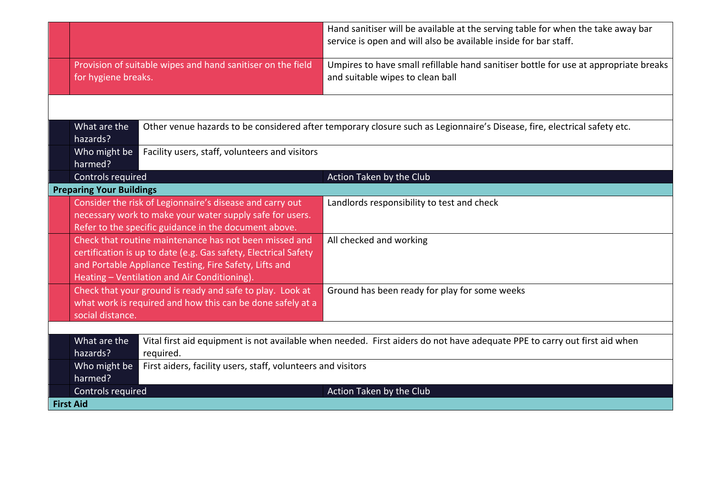|                                                                                                                                                                                                                                     |                                                                                                                                                                               | Hand sanitiser will be available at the serving table for when the take away bar<br>service is open and will also be available inside for bar staff. |
|-------------------------------------------------------------------------------------------------------------------------------------------------------------------------------------------------------------------------------------|-------------------------------------------------------------------------------------------------------------------------------------------------------------------------------|------------------------------------------------------------------------------------------------------------------------------------------------------|
| Provision of suitable wipes and hand sanitiser on the field<br>for hygiene breaks.                                                                                                                                                  |                                                                                                                                                                               | Umpires to have small refillable hand sanitiser bottle for use at appropriate breaks<br>and suitable wipes to clean ball                             |
|                                                                                                                                                                                                                                     |                                                                                                                                                                               |                                                                                                                                                      |
| What are the<br>hazards?                                                                                                                                                                                                            |                                                                                                                                                                               | Other venue hazards to be considered after temporary closure such as Legionnaire's Disease, fire, electrical safety etc.                             |
| Who might be<br>harmed?                                                                                                                                                                                                             | Facility users, staff, volunteers and visitors                                                                                                                                |                                                                                                                                                      |
| Controls required                                                                                                                                                                                                                   |                                                                                                                                                                               | Action Taken by the Club                                                                                                                             |
| <b>Preparing Your Buildings</b>                                                                                                                                                                                                     |                                                                                                                                                                               |                                                                                                                                                      |
|                                                                                                                                                                                                                                     | Consider the risk of Legionnaire's disease and carry out<br>necessary work to make your water supply safe for users.<br>Refer to the specific guidance in the document above. | Landlords responsibility to test and check                                                                                                           |
| Check that routine maintenance has not been missed and<br>certification is up to date (e.g. Gas safety, Electrical Safety<br>and Portable Appliance Testing, Fire Safety, Lifts and<br>Heating - Ventilation and Air Conditioning). |                                                                                                                                                                               | All checked and working                                                                                                                              |
| social distance.                                                                                                                                                                                                                    | Check that your ground is ready and safe to play. Look at<br>what work is required and how this can be done safely at a                                                       | Ground has been ready for play for some weeks                                                                                                        |
|                                                                                                                                                                                                                                     |                                                                                                                                                                               |                                                                                                                                                      |
| What are the<br>Vital first aid equipment is not available when needed. First aiders do not have adequate PPE to carry out first aid when<br>hazards?<br>required.                                                                  |                                                                                                                                                                               |                                                                                                                                                      |
| Who might be<br>harmed?                                                                                                                                                                                                             | First aiders, facility users, staff, volunteers and visitors                                                                                                                  |                                                                                                                                                      |
| Controls required                                                                                                                                                                                                                   |                                                                                                                                                                               | Action Taken by the Club                                                                                                                             |
| <b>First Aid</b>                                                                                                                                                                                                                    |                                                                                                                                                                               |                                                                                                                                                      |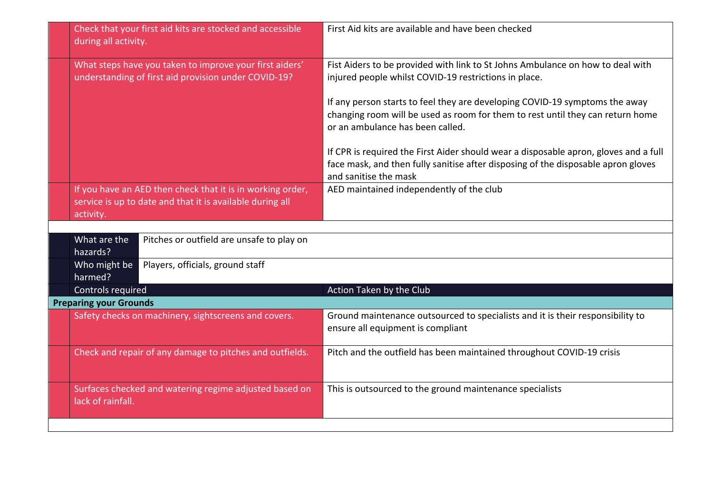|                               | Check that your first aid kits are stocked and accessible<br>during all activity.                                                    | First Aid kits are available and have been checked                                                                                                                                                 |  |
|-------------------------------|--------------------------------------------------------------------------------------------------------------------------------------|----------------------------------------------------------------------------------------------------------------------------------------------------------------------------------------------------|--|
|                               | What steps have you taken to improve your first aiders'<br>understanding of first aid provision under COVID-19?                      | Fist Aiders to be provided with link to St Johns Ambulance on how to deal with<br>injured people whilst COVID-19 restrictions in place.                                                            |  |
|                               |                                                                                                                                      | If any person starts to feel they are developing COVID-19 symptoms the away<br>changing room will be used as room for them to rest until they can return home<br>or an ambulance has been called.  |  |
|                               |                                                                                                                                      | If CPR is required the First Aider should wear a disposable apron, gloves and a full<br>face mask, and then fully sanitise after disposing of the disposable apron gloves<br>and sanitise the mask |  |
|                               | If you have an AED then check that it is in working order,<br>service is up to date and that it is available during all<br>activity. | AED maintained independently of the club                                                                                                                                                           |  |
|                               |                                                                                                                                      |                                                                                                                                                                                                    |  |
|                               | What are the<br>Pitches or outfield are unsafe to play on<br>hazards?                                                                |                                                                                                                                                                                                    |  |
|                               | Players, officials, ground staff<br>Who might be<br>harmed?                                                                          |                                                                                                                                                                                                    |  |
|                               | Controls required                                                                                                                    | Action Taken by the Club                                                                                                                                                                           |  |
| <b>Preparing your Grounds</b> |                                                                                                                                      |                                                                                                                                                                                                    |  |
|                               | Safety checks on machinery, sightscreens and covers.                                                                                 | Ground maintenance outsourced to specialists and it is their responsibility to<br>ensure all equipment is compliant                                                                                |  |
|                               | Check and repair of any damage to pitches and outfields.                                                                             | Pitch and the outfield has been maintained throughout COVID-19 crisis                                                                                                                              |  |
|                               | Surfaces checked and watering regime adjusted based on<br>lack of rainfall.                                                          | This is outsourced to the ground maintenance specialists                                                                                                                                           |  |
|                               |                                                                                                                                      |                                                                                                                                                                                                    |  |